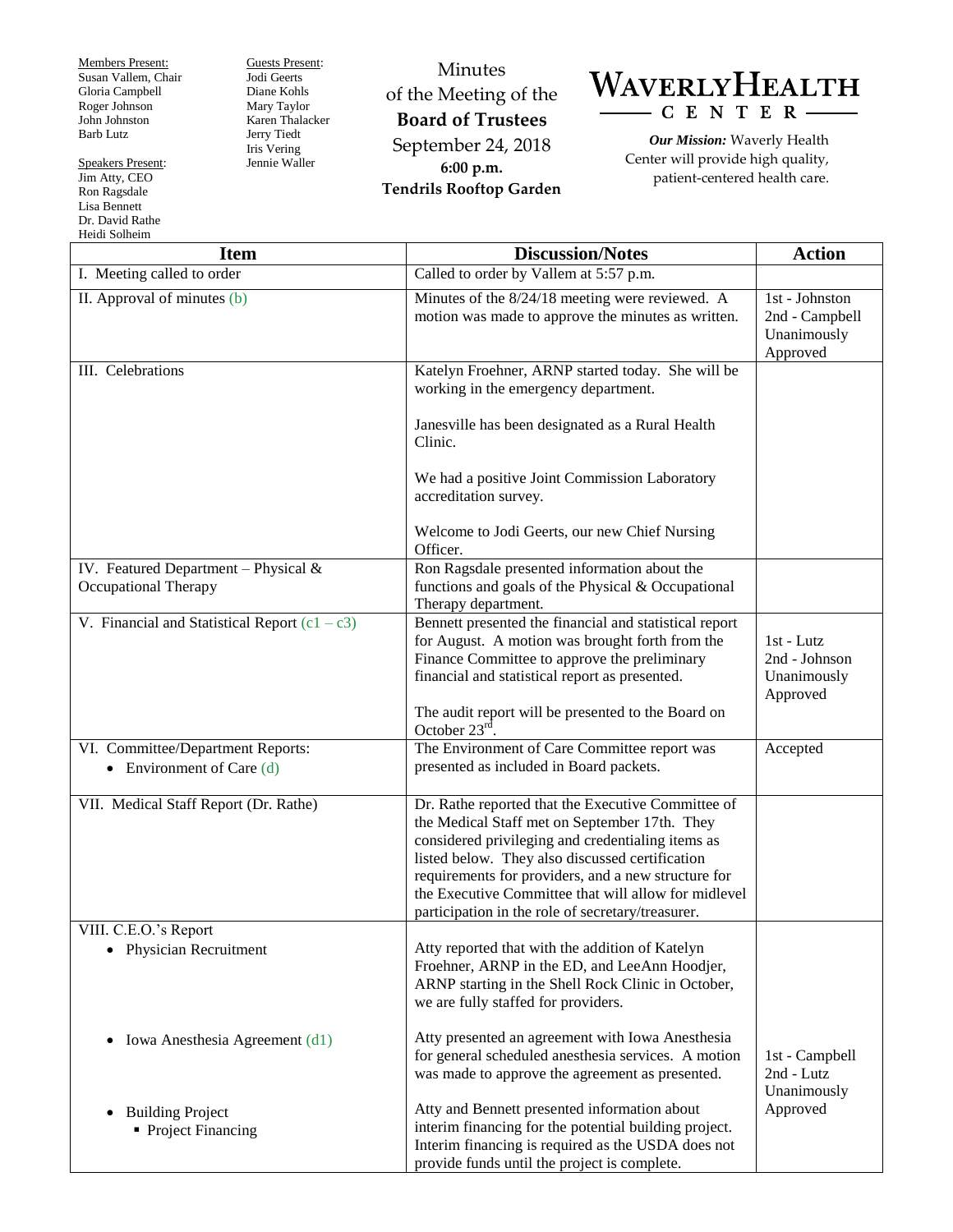Members Present: Susan Vallem, Chair Gloria Campbell Roger Johnson John Johnston Barb Lutz

Speakers Present: Jim Atty, CEO Ron Ragsdale Lisa Bennett Dr. David Rathe Heidi Solheim

Guests Present: Jodi Geerts Diane Kohls Mary Taylor Karen Thalacker Jerry Tiedt Iris Vering Jennie Waller

Minutes of the Meeting of the **Board of Trustees** September 24, 2018 **6:00 p.m. Tendrils Rooftop Garden**



*Our Mission:* Waverly Health Center will provide high quality, patient-centered health care.

| <b>Item</b>                                                                                                | <b>Discussion/Notes</b>                                                                                                                                                                                                                                                                                                                                                         | <b>Action</b>                                               |
|------------------------------------------------------------------------------------------------------------|---------------------------------------------------------------------------------------------------------------------------------------------------------------------------------------------------------------------------------------------------------------------------------------------------------------------------------------------------------------------------------|-------------------------------------------------------------|
| I. Meeting called to order                                                                                 | Called to order by Vallem at 5:57 p.m.                                                                                                                                                                                                                                                                                                                                          |                                                             |
| II. Approval of minutes (b)                                                                                | Minutes of the 8/24/18 meeting were reviewed. A<br>motion was made to approve the minutes as written.                                                                                                                                                                                                                                                                           | 1st - Johnston<br>2nd - Campbell<br>Unanimously<br>Approved |
| III. Celebrations<br>IV. Featured Department - Physical $&$<br>Occupational Therapy                        | Katelyn Froehner, ARNP started today. She will be<br>working in the emergency department.<br>Janesville has been designated as a Rural Health<br>Clinic.<br>We had a positive Joint Commission Laboratory<br>accreditation survey.<br>Welcome to Jodi Geerts, our new Chief Nursing<br>Officer.<br>Ron Ragsdale presented information about the                                 |                                                             |
|                                                                                                            | functions and goals of the Physical & Occupational<br>Therapy department.                                                                                                                                                                                                                                                                                                       |                                                             |
| V. Financial and Statistical Report $(c1 - c3)$                                                            | Bennett presented the financial and statistical report<br>for August. A motion was brought forth from the<br>Finance Committee to approve the preliminary<br>financial and statistical report as presented.<br>The audit report will be presented to the Board on<br>October $23rd$ .                                                                                           | 1st - Lutz<br>2nd - Johnson<br>Unanimously<br>Approved      |
| VI. Committee/Department Reports:<br>• Environment of Care $(d)$                                           | The Environment of Care Committee report was<br>presented as included in Board packets.                                                                                                                                                                                                                                                                                         | Accepted                                                    |
| VII. Medical Staff Report (Dr. Rathe)                                                                      | Dr. Rathe reported that the Executive Committee of<br>the Medical Staff met on September 17th. They<br>considered privileging and credentialing items as<br>listed below. They also discussed certification<br>requirements for providers, and a new structure for<br>the Executive Committee that will allow for midlevel<br>participation in the role of secretary/treasurer. |                                                             |
| VIII. C.E.O.'s Report<br>Physician Recruitment                                                             | Atty reported that with the addition of Katelyn<br>Froehner, ARNP in the ED, and LeeAnn Hoodjer,<br>ARNP starting in the Shell Rock Clinic in October,<br>we are fully staffed for providers.                                                                                                                                                                                   |                                                             |
| Iowa Anesthesia Agreement (d1)<br>$\bullet$<br><b>Building Project</b><br>$\bullet$<br>• Project Financing | Atty presented an agreement with Iowa Anesthesia<br>for general scheduled anesthesia services. A motion<br>was made to approve the agreement as presented.<br>Atty and Bennett presented information about<br>interim financing for the potential building project.<br>Interim financing is required as the USDA does not<br>provide funds until the project is complete.       | 1st - Campbell<br>2nd - Lutz<br>Unanimously<br>Approved     |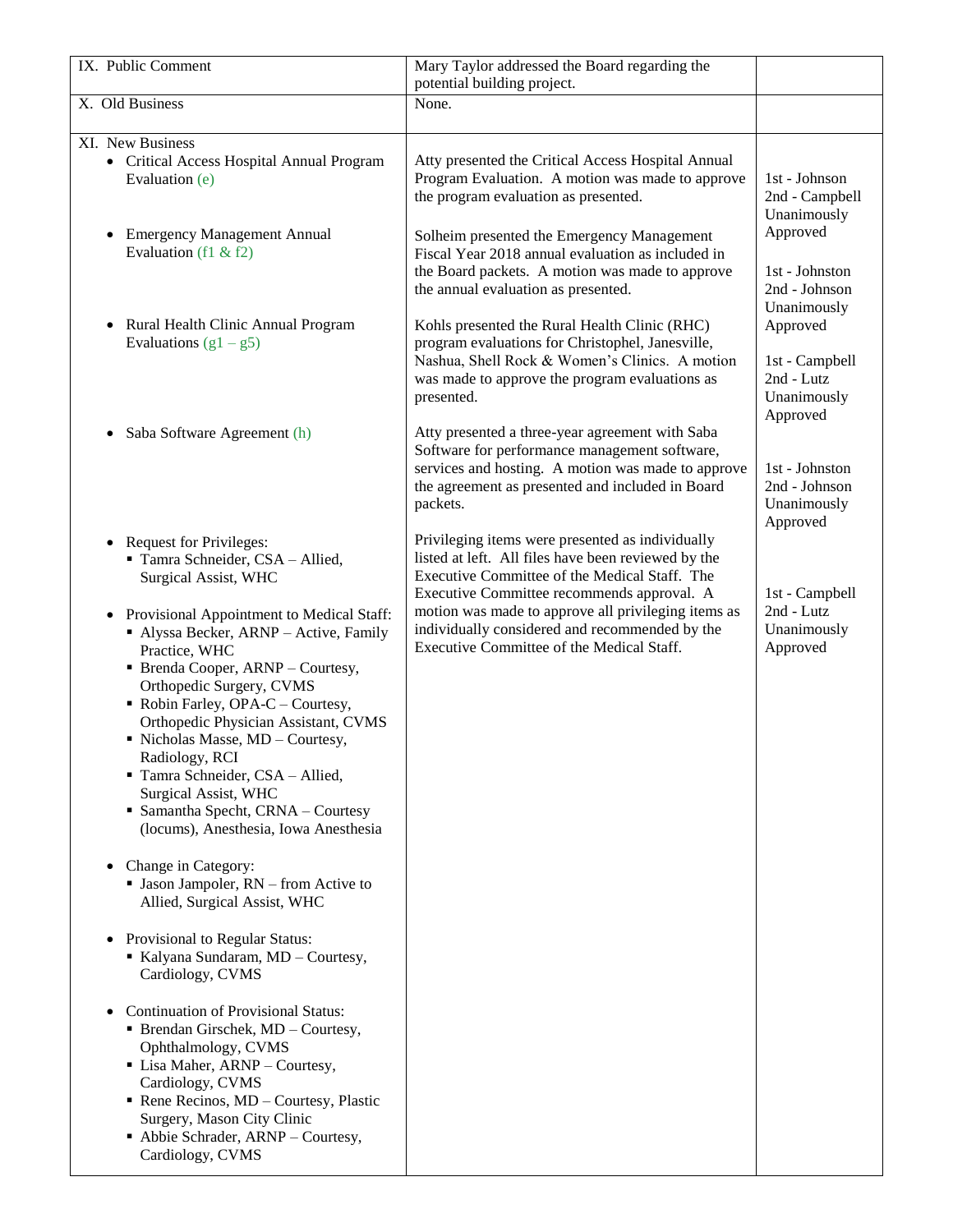| IX. Public Comment                                                                                                                                                                                                                                                                                                                                                                               | Mary Taylor addressed the Board regarding the                                                                                                                                                                                                                 |                                                                     |
|--------------------------------------------------------------------------------------------------------------------------------------------------------------------------------------------------------------------------------------------------------------------------------------------------------------------------------------------------------------------------------------------------|---------------------------------------------------------------------------------------------------------------------------------------------------------------------------------------------------------------------------------------------------------------|---------------------------------------------------------------------|
|                                                                                                                                                                                                                                                                                                                                                                                                  | potential building project.                                                                                                                                                                                                                                   |                                                                     |
| X. Old Business                                                                                                                                                                                                                                                                                                                                                                                  | None.                                                                                                                                                                                                                                                         |                                                                     |
|                                                                                                                                                                                                                                                                                                                                                                                                  |                                                                                                                                                                                                                                                               |                                                                     |
| XI. New Business<br>• Critical Access Hospital Annual Program<br>Evaluation (e)                                                                                                                                                                                                                                                                                                                  | Atty presented the Critical Access Hospital Annual<br>Program Evaluation. A motion was made to approve<br>the program evaluation as presented.                                                                                                                | 1st - Johnson<br>2nd - Campbell<br>Unanimously                      |
| <b>Emergency Management Annual</b><br>$\bullet$<br>Evaluation (f1 & f2)                                                                                                                                                                                                                                                                                                                          | Solheim presented the Emergency Management<br>Fiscal Year 2018 annual evaluation as included in<br>the Board packets. A motion was made to approve<br>the annual evaluation as presented.                                                                     | Approved<br>1st - Johnston<br>2nd - Johnson<br>Unanimously          |
| Rural Health Clinic Annual Program<br>$\bullet$<br>Evaluations $(g1 - g5)$                                                                                                                                                                                                                                                                                                                       | Kohls presented the Rural Health Clinic (RHC)<br>program evaluations for Christophel, Janesville,<br>Nashua, Shell Rock & Women's Clinics. A motion<br>was made to approve the program evaluations as<br>presented.                                           | Approved<br>1st - Campbell<br>2nd - Lutz<br>Unanimously<br>Approved |
| Saba Software Agreement (h)<br>$\bullet$                                                                                                                                                                                                                                                                                                                                                         | Atty presented a three-year agreement with Saba<br>Software for performance management software,<br>services and hosting. A motion was made to approve<br>the agreement as presented and included in Board<br>packets.                                        | 1st - Johnston<br>2nd - Johnson<br>Unanimously<br>Approved          |
| • Request for Privileges:<br>Tamra Schneider, CSA - Allied,<br><b>Surgical Assist, WHC</b><br>Provisional Appointment to Medical Staff:<br>$\bullet$                                                                                                                                                                                                                                             | Privileging items were presented as individually<br>listed at left. All files have been reviewed by the<br>Executive Committee of the Medical Staff. The<br>Executive Committee recommends approval. A<br>motion was made to approve all privileging items as | 1st - Campbell<br>2nd - Lutz                                        |
| Alyssa Becker, ARNP - Active, Family<br>Practice, WHC<br>• Brenda Cooper, ARNP - Courtesy,<br>Orthopedic Surgery, CVMS<br>Robin Farley, OPA-C - Courtesy,<br>Orthopedic Physician Assistant, CVMS<br>· Nicholas Masse, MD - Courtesy,<br>Radiology, RCI<br>Tamra Schneider, CSA - Allied,<br>Surgical Assist, WHC<br>• Samantha Specht, CRNA - Courtesy<br>(locums), Anesthesia, Iowa Anesthesia | individually considered and recommended by the<br>Executive Committee of the Medical Staff.                                                                                                                                                                   | Unanimously<br>Approved                                             |
| Change in Category:<br>$\bullet$<br>• Jason Jampoler, RN – from Active to<br>Allied, Surgical Assist, WHC                                                                                                                                                                                                                                                                                        |                                                                                                                                                                                                                                                               |                                                                     |
| Provisional to Regular Status:<br>$\bullet$<br>Kalyana Sundaram, MD - Courtesy,<br>Cardiology, CVMS                                                                                                                                                                                                                                                                                              |                                                                                                                                                                                                                                                               |                                                                     |
| <b>Continuation of Provisional Status:</b><br>$\bullet$<br>• Brendan Girschek, MD - Courtesy,<br>Ophthalmology, CVMS<br>• Lisa Maher, ARNP - Courtesy,<br>Cardiology, CVMS<br>Rene Recinos, $MD -$ Courtesy, Plastic<br>Surgery, Mason City Clinic<br>• Abbie Schrader, ARNP – Courtesy,<br>Cardiology, CVMS                                                                                     |                                                                                                                                                                                                                                                               |                                                                     |